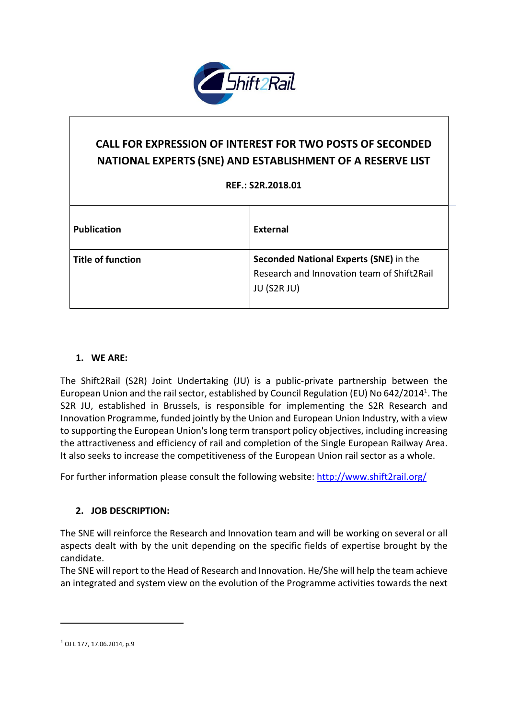

# **CALL FOR EXPRESSION OF INTEREST FOR TWO POSTS OF SECONDED NATIONAL EXPERTS (SNE) AND ESTABLISHMENT OF A RESERVE LIST**

#### **REF.: S2R.2018.01**

| <b>Publication</b>       | External                                                                             |
|--------------------------|--------------------------------------------------------------------------------------|
| <b>Title of function</b> | Seconded National Experts (SNE) in the<br>Research and Innovation team of Shift2Rail |
|                          | JU (S2R JU)                                                                          |

#### **1. WE ARE:**

The Shift2Rail (S2R) Joint Undertaking (JU) is a public-private partnership between the European Union and the rail sector, established by Council Regulation (EU) No 642/2014<sup>1</sup>. The S2R JU, established in Brussels, is responsible for implementing the S2R Research and Innovation Programme, funded jointly by the Union and European Union Industry, with a view to supporting the European Union's long term transport policy objectives, including increasing the attractiveness and efficiency of rail and completion of the Single European Railway Area. It also seeks to increase the competitiveness of the European Union rail sector as a whole.

For further information please consult the following website: <http://www.shift2rail.org/>

#### **2. JOB DESCRIPTION:**

The SNE will reinforce the Research and Innovation team and will be working on several or all aspects dealt with by the unit depending on the specific fields of expertise brought by the candidate.

The SNE will report to the Head of Research and Innovation. He/She will help the team achieve an integrated and system view on the evolution of the Programme activities towards the next

 $\overline{a}$ 

 $1$  OJ L 177, 17.06.2014, p.9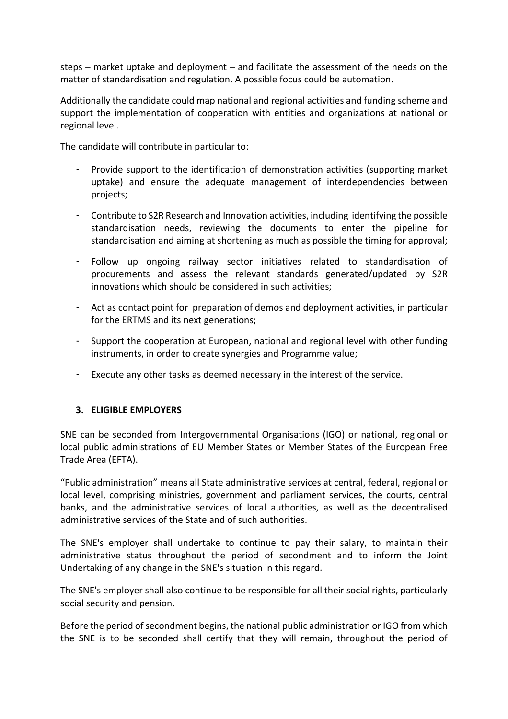steps – market uptake and deployment – and facilitate the assessment of the needs on the matter of standardisation and regulation. A possible focus could be automation.

Additionally the candidate could map national and regional activities and funding scheme and support the implementation of cooperation with entities and organizations at national or regional level.

The candidate will contribute in particular to:

- Provide support to the identification of demonstration activities (supporting market uptake) and ensure the adequate management of interdependencies between projects;
- Contribute to S2R Research and Innovation activities, including identifying the possible standardisation needs, reviewing the documents to enter the pipeline for standardisation and aiming at shortening as much as possible the timing for approval;
- Follow up ongoing railway sector initiatives related to standardisation of procurements and assess the relevant standards generated/updated by S2R innovations which should be considered in such activities;
- Act as contact point for preparation of demos and deployment activities, in particular for the ERTMS and its next generations;
- Support the cooperation at European, national and regional level with other funding instruments, in order to create synergies and Programme value;
- Execute any other tasks as deemed necessary in the interest of the service.

#### **3. ELIGIBLE EMPLOYERS**

SNE can be seconded from Intergovernmental Organisations (IGO) or national, regional or local public administrations of EU Member States or Member States of the European Free Trade Area (EFTA).

"Public administration" means all State administrative services at central, federal, regional or local level, comprising ministries, government and parliament services, the courts, central banks, and the administrative services of local authorities, as well as the decentralised administrative services of the State and of such authorities.

The SNE's employer shall undertake to continue to pay their salary, to maintain their administrative status throughout the period of secondment and to inform the Joint Undertaking of any change in the SNE's situation in this regard.

The SNE's employer shall also continue to be responsible for all their social rights, particularly social security and pension.

Before the period of secondment begins, the national public administration or IGO from which the SNE is to be seconded shall certify that they will remain, throughout the period of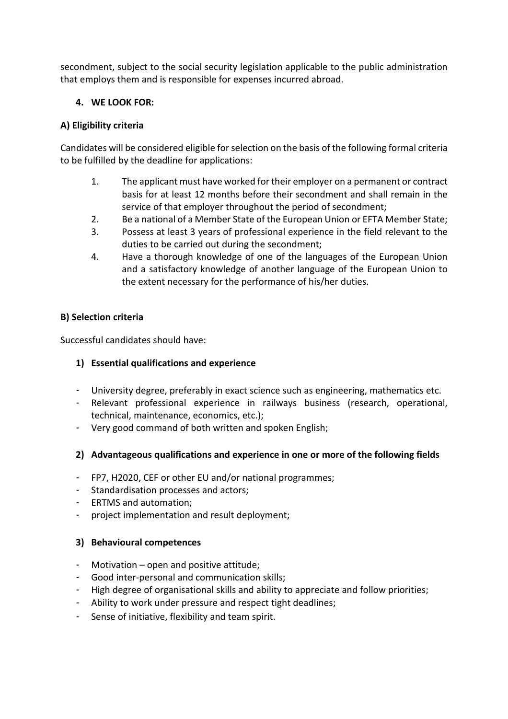secondment, subject to the social security legislation applicable to the public administration that employs them and is responsible for expenses incurred abroad.

## **4. WE LOOK FOR:**

## **A) Eligibility criteria**

Candidates will be considered eligible forselection on the basis of the following formal criteria to be fulfilled by the deadline for applications:

- 1. The applicant must have worked for their employer on a permanent or contract basis for at least 12 months before their secondment and shall remain in the service of that employer throughout the period of secondment;
- 2. Be a national of a Member State of the European Union or EFTA Member State;
- 3. Possess at least 3 years of professional experience in the field relevant to the duties to be carried out during the secondment;
- 4. Have a thorough knowledge of one of the languages of the European Union and a satisfactory knowledge of another language of the European Union to the extent necessary for the performance of his/her duties.

#### **B) Selection criteria**

Successful candidates should have:

#### **1) Essential qualifications and experience**

- University degree, preferably in exact science such as engineering, mathematics etc.
- Relevant professional experience in railways business (research, operational, technical, maintenance, economics, etc.);
- Very good command of both written and spoken English;

#### **2) Advantageous qualifications and experience in one or more of the following fields**

- FP7, H2020, CEF or other EU and/or national programmes;
- Standardisation processes and actors;
- ERTMS and automation;
- project implementation and result deployment;

#### **3) Behavioural competences**

- Motivation open and positive attitude;
- Good inter-personal and communication skills;
- High degree of organisational skills and ability to appreciate and follow priorities;
- Ability to work under pressure and respect tight deadlines;
- Sense of initiative, flexibility and team spirit.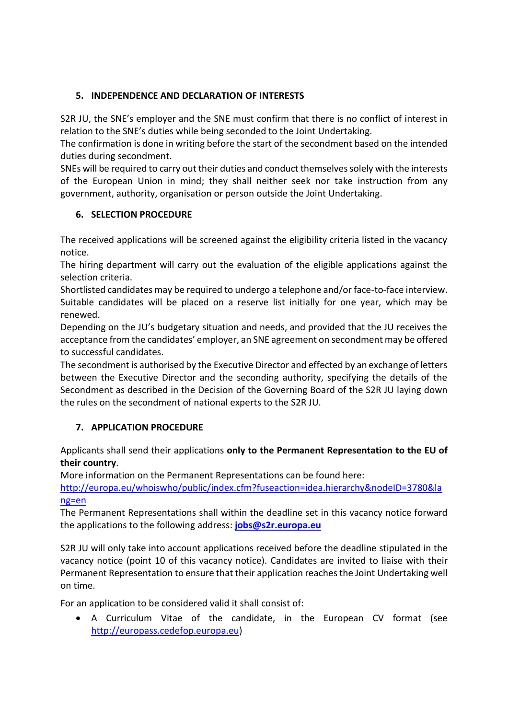# **5. INDEPENDENCE AND DECLARATION OF INTERESTS**

S2R JU, the SNE's employer and the SNE must confirm that there is no conflict of interest in relation to the SNE's duties while being seconded to the Joint Undertaking.

The confirmation is done in writing before the start of the secondment based on the intended duties during secondment.

SNEs will be required to carry out their duties and conduct themselvessolely with the interests of the European Union in mind; they shall neither seek nor take instruction from any government, authority, organisation or person outside the Joint Undertaking.

# **6. SELECTION PROCEDURE**

The received applications will be screened against the eligibility criteria listed in the vacancy notice.

The hiring department will carry out the evaluation of the eligible applications against the selection criteria.

Shortlisted candidates may be required to undergo a telephone and/or face-to-face interview. Suitable candidates will be placed on a reserve list initially for one year, which may be renewed.

Depending on the JU's budgetary situation and needs, and provided that the JU receives the acceptance from the candidates' employer, an SNE agreement on secondment may be offered to successful candidates.

The secondment is authorised by the Executive Director and effected by an exchange of letters between the Executive Director and the seconding authority, specifying the details of the Secondment as described in the Decision of the Governing Board of the S2R JU laying down the rules on the secondment of national experts to the S2R JU.

# **7. APPLICATION PROCEDURE**

Applicants shall send their applications **only to the Permanent Representation to the EU of their country**.

More information on the Permanent Representations can be found here:

[http://europa.eu/whoiswho/public/index.cfm?fuseaction=idea.hierarchy&nodeID=3780&la](http://europa.eu/whoiswho/public/index.cfm?fuseaction=idea.hierarchy&nodeID=3780&lang=en) [ng=en](http://europa.eu/whoiswho/public/index.cfm?fuseaction=idea.hierarchy&nodeID=3780&lang=en)

The Permanent Representations shall within the deadline set in this vacancy notice forward the applications to the following address: **[jobs@s2r.europa.eu](mailto:jobs@s2r.europa.eu)**

S2R JU will only take into account applications received before the deadline stipulated in the vacancy notice (point 10 of this vacancy notice). Candidates are invited to liaise with their Permanent Representation to ensure that their application reaches the Joint Undertaking well on time.

For an application to be considered valid it shall consist of:

 A Curriculum Vitae of the candidate, in the European CV format (see [http://europass.cedefop.europa.eu\)](http://europass.cedefop.europa.eu/)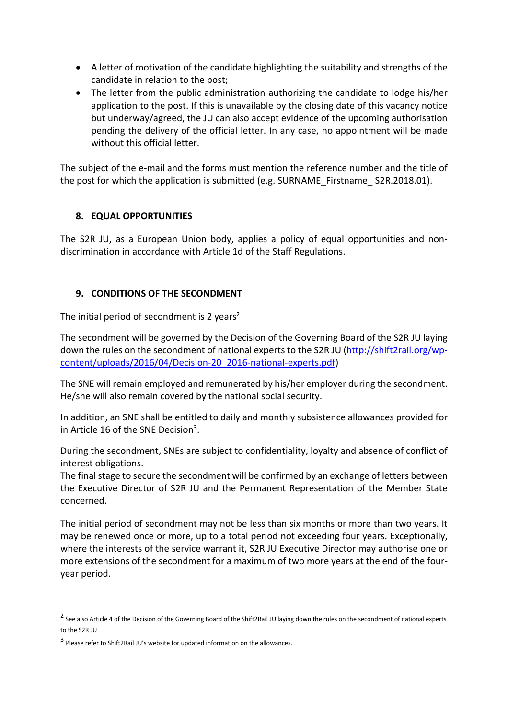- A letter of motivation of the candidate highlighting the suitability and strengths of the candidate in relation to the post;
- The letter from the public administration authorizing the candidate to lodge his/her application to the post. If this is unavailable by the closing date of this vacancy notice but underway/agreed, the JU can also accept evidence of the upcoming authorisation pending the delivery of the official letter. In any case, no appointment will be made without this official letter.

The subject of the e-mail and the forms must mention the reference number and the title of the post for which the application is submitted (e.g. SURNAME\_Firstname\_ S2R.2018.01).

#### **8. EQUAL OPPORTUNITIES**

The S2R JU, as a European Union body, applies a policy of equal opportunities and nondiscrimination in accordance with Article 1d of the Staff Regulations.

## **9. CONDITIONS OF THE SECONDMENT**

The initial period of secondment is 2 years<sup>2</sup>

The secondment will be governed by the Decision of the Governing Board of the S2R JU laying down the rules on the secondment of national experts to the S2R JU [\(http://shift2rail.org/wp](http://shift2rail.org/wp-content/uploads/2016/04/Decision-20_2016-national-experts.pdf)[content/uploads/2016/04/Decision-20\\_2016-national-experts.pdf\)](http://shift2rail.org/wp-content/uploads/2016/04/Decision-20_2016-national-experts.pdf)

The SNE will remain employed and remunerated by his/her employer during the secondment. He/she will also remain covered by the national social security.

In addition, an SNE shall be entitled to daily and monthly subsistence allowances provided for in Article 16 of the SNE Decision<sup>3</sup>.

During the secondment, SNEs are subject to confidentiality, loyalty and absence of conflict of interest obligations.

The final stage to secure the secondment will be confirmed by an exchange of letters between the Executive Director of S2R JU and the Permanent Representation of the Member State concerned.

The initial period of secondment may not be less than six months or more than two years. It may be renewed once or more, up to a total period not exceeding four years. Exceptionally, where the interests of the service warrant it, S2R JU Executive Director may authorise one or more extensions of the secondment for a maximum of two more years at the end of the fouryear period.

1

<sup>&</sup>lt;sup>2</sup> See also Article 4 of the Decision of the Governing Board of the Shift2Rail JU laying down the rules on the secondment of national experts to the S2R JU

<sup>3</sup> Please refer to Shift2Rail JU's website for updated information on the allowances.